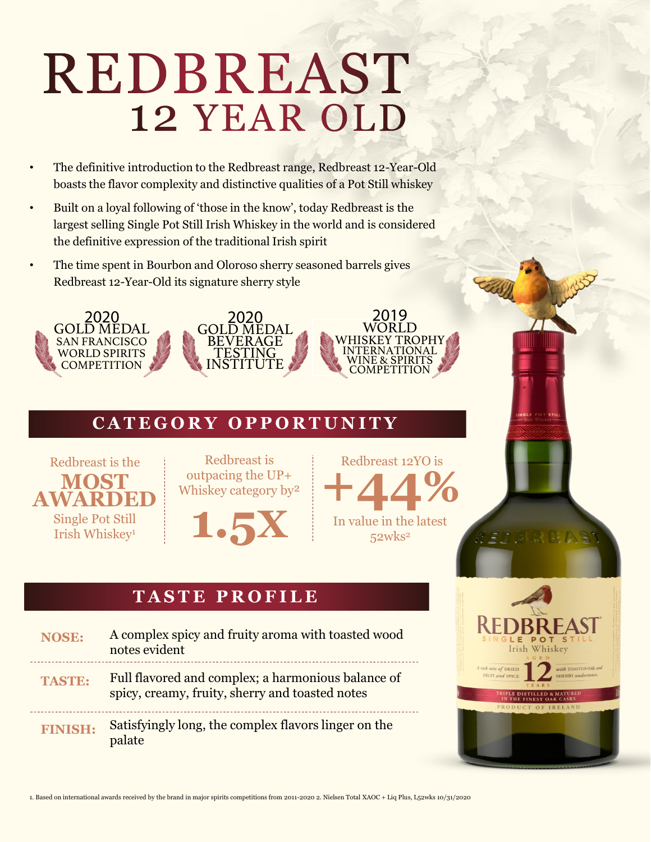# REDBREAST 12 YEAR OLD

- The definitive introduction to the Redbreast range, Redbreast 12-Year-Old boasts the flavor complexity and distinctive qualities of a Pot Still whiskey
- Built on a loyal following of 'those in the know', today Redbreast is the largest selling Single Pot Still Irish Whiskey in the world and is considered the definitive expression of the traditional Irish spirit
- The time spent in Bourbon and Oloroso sherry seasoned barrels gives Redbreast 12-Year-Old its signature sherry style







## **C A T E G O R Y O P P O R T U N I T Y**



Redbreast is outpacing the UP+ Whiskey category by²

**1.5X**

Redbreast 12YO is **+44%** In value in the latest

52wks2

## **T A S T E P R O F I L E**

**NOSE: TASTE: FINISH:** A complex spicy and fruity aroma with toasted wood notes evident Full flavored and complex; a harmonious balance of spicy, creamy, fruity, sherry and toasted notes Satisfyingly long, the complex flavors linger on the palate